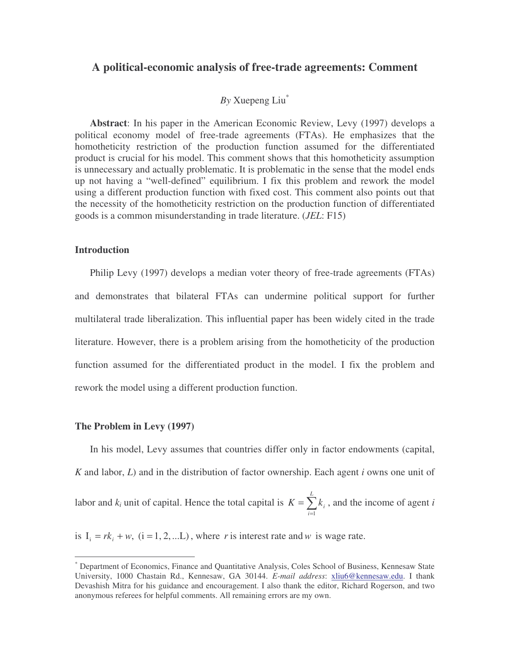# **A political-economic analysis of free-trade agreements: Comment**

## *By* Xuepeng Liu \*

**Abstract**: In his paper in the American Economic Review, Levy (1997) develops a political economy model of free-trade agreements (FTAs). He emphasizes that the homotheticity restriction of the production function assumed for the differentiated product is crucial for his model. This comment shows that this homotheticity assumption is unnecessary and actually problematic. It is problematic in the sense that the model ends up not having a "well-defined" equilibrium. I fix this problem and rework the model using a different production function with fixed cost. This comment also points out that the necessity of the homotheticity restriction on the production function of differentiated goods is a common misunderstanding in trade literature. (*JEL*: F15)

#### **Introduction**

Philip Levy (1997) develops a median voter theory of free-trade agreements (FTAs) and demonstrates that bilateral FTAs can undermine political support for further multilateral trade liberalization. This influential paper has been widely cited in the trade literature. However, there is a problem arising from the homotheticity of the production function assumed for the differentiated product in the model. I fix the problem and rework the model using a different production function.

#### **The Problem in Levy (1997)**

In his model, Levy assumes that countries differ only in factor endowments (capital, *K* and labor, *L*) and in the distribution of factor ownership. Each agent *i* owns one unit of labor and  $k_i$  unit of capital. Hence the total capital is  $K = \sum_{i=1}^{n}$ = = *L i*  $K = \sum k_i$ 1 , and the income of agent *i*

is  $I_i = rk_i + w$ ,  $(i = 1, 2, \dots L)$ , where *r* is interest rate and *w* is wage rate.

<sup>\*</sup> Department of Economics, Finance and Quantitative Analysis, Coles School of Business, Kennesaw State University, 1000 Chastain Rd., Kennesaw, GA 30144. *E-mail address*: xliu6@kennesaw.edu. I thank Devashish Mitra for his guidance and encouragement. I also thank the editor, Richard Rogerson, and two anonymous referees for helpful comments. All remaining errors are my own.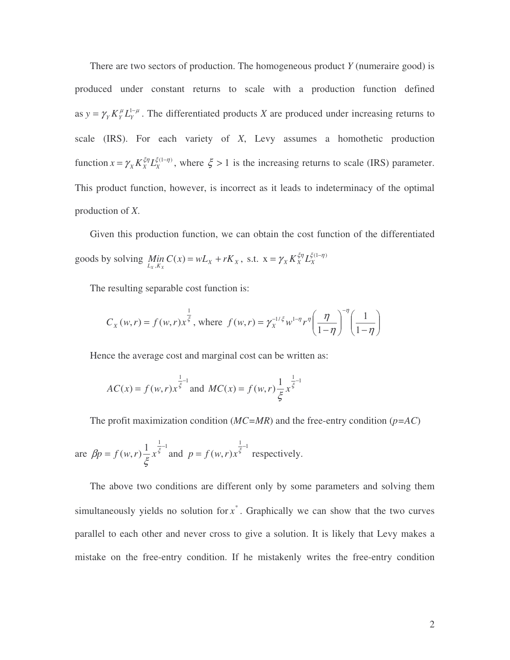There are two sectors of production. The homogeneous product *Y* (numeraire good) is produced under constant returns to scale with a production function defined as  $y = \gamma_Y K_Y^{\mu} L_Y^{1-\mu}$ . The differentiated products *X* are produced under increasing returns to scale (IRS). For each variety of *X*, Levy assumes a homothetic production function  $x = \gamma_X K_X^{\xi \eta} L_X^{\xi(1-\eta)}$ , where  $\xi > 1$  is the increasing returns to scale (IRS) parameter. This product function, however, is incorrect as it leads to indeterminacy of the optimal production of *X*.

Given this production function, we can obtain the cost function of the differentiated goods by solving  $Min C(x) = wL_x + rK_x$ , s.t.  $x = \gamma_x K_x^{\xi \eta} L_x^{\xi(1-\eta)}$  $\lim_{L_X, K_X} C(x) = wL_X + rK_X$ , s.t.  $x = \gamma_X K_X^{\xi \eta} L_X^{\xi(1-\eta)}$ 

The resulting separable cost function is:

$$
C_X(w,r) = f(w,r)x^{\frac{1}{5}}, \text{ where } f(w,r) = \gamma_X^{-1/\xi} w^{1-\eta} r^{\eta} \left(\frac{\eta}{1-\eta}\right)^{-\eta} \left(\frac{1}{1-\eta}\right)
$$

Hence the average cost and marginal cost can be written as:

$$
AC(x) = f(w,r)x^{\frac{1}{\xi}-1}
$$
 and 
$$
MC(x) = f(w,r)\frac{1}{\xi}x^{\frac{1}{\xi}-1}
$$

The profit maximization condition (*MC=MR*) and the free-entry condition (*p=AC*)

are 
$$
\beta p = f(w, r) \frac{1}{\xi} x^{\frac{1}{\xi}-1}
$$
 and  $p = f(w, r) x^{\frac{1}{\xi}-1}$  respectively.

The above two conditions are different only by some parameters and solving them simultaneously yields no solution for  $x^*$ . Graphically we can show that the two curves parallel to each other and never cross to give a solution. It is likely that Levy makes a mistake on the free-entry condition. If he mistakenly writes the free-entry condition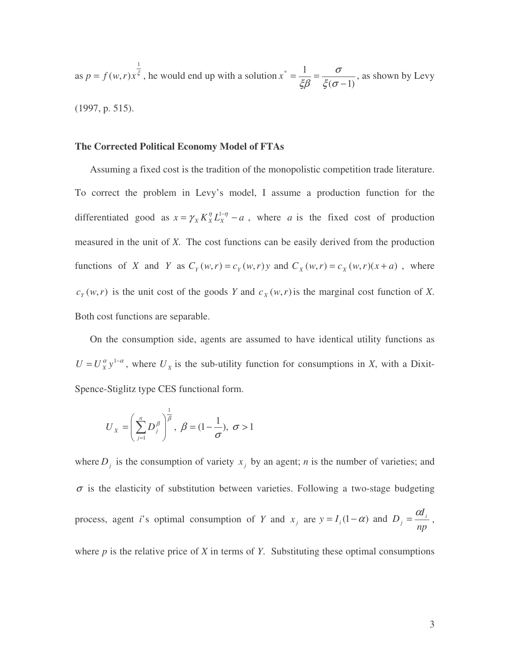as  $p = f(w,r)x^{\xi}$ 1  $p = f(w, r)x^{\xi}$ , he would end up with a solution  $(\sigma - 1)$  $\overline{\ }$  1 −  $=\frac{1}{\epsilon_0}$  =  $\xi(\sigma$ σ ξβ  $x^* = \frac{1}{50} = \frac{6}{50}$ , as shown by Levy (1997, p. 515).

### **The Corrected Political Economy Model of FTAs**

Assuming a fixed cost is the tradition of the monopolistic competition trade literature. To correct the problem in Levy's model, I assume a production function for the differentiated good as  $x = \gamma_X K_X^{\eta} L_X^{1-\eta} - a$ , where *a* is the fixed cost of production measured in the unit of *X.* The cost functions can be easily derived from the production functions of X and Y as  $C_Y(w,r) = c_Y(w,r)y$  and  $C_X(w,r) = c_X(w,r)(x+a)$ , where  $c_Y(w, r)$  is the unit cost of the goods *Y* and  $c_X(w, r)$  is the marginal cost function of *X*. Both cost functions are separable.

On the consumption side, agents are assumed to have identical utility functions as  $U = U_x^{\alpha} y^{1-\alpha}$ , where  $U_x$  is the sub-utility function for consumptions in *X*, with a Dixit-Spence-Stiglitz type CES functional form.

$$
U_{X} = \left(\sum_{j=1}^{n} D_{j}^{\beta}\right)^{\frac{1}{\beta}}, \ \beta = (1 - \frac{1}{\sigma}), \ \sigma > 1
$$

where  $D_j$  is the consumption of variety  $x_j$  by an agent; *n* is the number of varieties; and  $\sigma$  is the elasticity of substitution between varieties. Following a two-stage budgeting process, agent *i*'s optimal consumption of *Y* and  $x_j$  are *np*  $y = I_i(1-\alpha)$  and  $D_j = \frac{\alpha I_i}{\alpha}$  $= I_i(1-\alpha)$  and  $D_i = \frac{\alpha I_i}{\alpha}$ ,

where  $p$  is the relative price of  $X$  in terms of  $Y$ . Substituting these optimal consumptions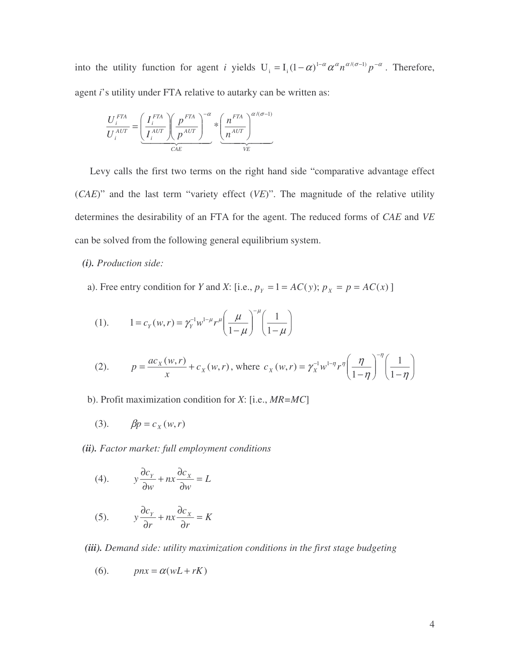into the utility function for agent *i* yields  $U_i = I_i (1 - \alpha)^{1-\alpha} \alpha^{\alpha} n^{\alpha/(\sigma-1)} p^{-\alpha}$ . Therefore, agent *i*'s utility under FTA relative to autarky can be written as:

$$
\frac{U_i^{FTA}}{U_i^{AUT}} = \underbrace{\left(\frac{I_i^{FTA}}{I_i^{AUT}}\right)\left(\frac{p^{FTA}}{p^{AUT}}\right)^{-\alpha}}_{CAE} * \underbrace{\left(\frac{n^{FTA}}{n^{AUT}}\right)^{\alpha/(\sigma-1)}}_{VE}
$$

Levy calls the first two terms on the right hand side "comparative advantage effect (*CAE*)" and the last term "variety effect (*VE*)". The magnitude of the relative utility determines the desirability of an FTA for the agent. The reduced forms of *CAE* and *VE* can be solved from the following general equilibrium system.

*(i). Production side:*

a). Free entry condition for *Y* and *X*: [i.e.,  $p_Y = 1 = AC(y)$ ;  $p_X = p = AC(x)$ ]

(1). 
$$
1 = c_Y(w, r) = \gamma_Y^{-1} w^{1-\mu} r^{\mu} \left(\frac{\mu}{1-\mu}\right)^{-\mu} \left(\frac{1}{1-\mu}\right)
$$

(2). 
$$
p = \frac{ac_x(w,r)}{x} + c_x(w,r), \text{ where } c_x(w,r) = \gamma_x^{-1} w^{1-\eta} r^{\eta} \left(\frac{\eta}{1-\eta}\right)^{-\eta} \left(\frac{1}{1-\eta}\right)
$$

b). Profit maximization condition for *X*: [i.e., *MR=MC*]

(3). 
$$
\beta p = c_X(w, r)
$$

*(ii). Factor market: full employment conditions*

(4). 
$$
y\frac{\partial c_y}{\partial w} + nx\frac{\partial c_x}{\partial w} = L
$$

(5). 
$$
y\frac{\partial c_Y}{\partial r} + nx\frac{\partial c_X}{\partial r} = K
$$

*(iii). Demand side: utility maximization conditions in the first stage budgeting*

$$
(6). \qquad \text{pnx} = \alpha(wL + rK)
$$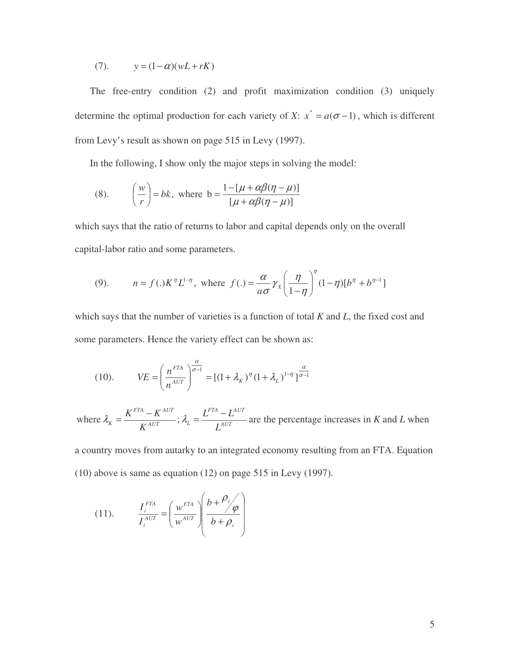(7).  $y = (1 - \alpha)(wL + rK)$ 

The free-entry condition (2) and profit maximization condition (3) uniquely determine the optimal production for each variety of *X*:  $x^* = a(\sigma - 1)$ , which is different from Levy's result as shown on page 515 in Levy (1997).

In the following, I show only the major steps in solving the model:

(8). 
$$
\left(\frac{w}{r}\right) = bk
$$
, where  $b = \frac{1 - [\mu + \alpha\beta(\eta - \mu)]}{[\mu + \alpha\beta(\eta - \mu)]}$ 

which says that the ratio of returns to labor and capital depends only on the overall capital-labor ratio and some parameters.

(9). 
$$
n = f(.)K^{\eta}L^{1-\eta}, \text{ where } f(.) = \frac{\alpha}{a\sigma}\gamma_{X}\left(\frac{\eta}{1-\eta}\right)^{\eta}(1-\eta)[b^{\eta} + b^{\eta-1}]
$$

which says that the number of varieties is a function of total *K* and *L*, the fixed cost and some parameters. Hence the variety effect can be shown as:

(10). 
$$
VE = \left(\frac{n^{FTA}}{n^{AUT}}\right)^{\frac{\alpha}{\sigma-1}} = \left[(1+\lambda_K)^{\eta}(1+\lambda_L)^{1-\eta}\right]^{\frac{\alpha}{\sigma-1}}
$$

*AUT FTA AUT*  $_{AUT}$ ,  $\mathcal{L}_L$ *FTA AUT*  $K^{AUT}$ ,  $\mathcal{L}$   $L^{AUT}$   $L^{AUT}$  $L^{FIA} - L$ *K* where  $\lambda_K = \frac{K^{FTA} - K^{AUT}}{K^{AUT}}$ ;  $\lambda_L = \frac{L^{FTA} - L^{AUT}}{K^{AUT}}$  are the percentage increases in *K* and *L* when

a country moves from autarky to an integrated economy resulting from an FTA. Equation (10) above is same as equation (12) on page 515 in Levy (1997).

(11). 
$$
\frac{I_i^{FTA}}{I_i^{AUT}} = \left(\frac{w^{FTA}}{w^{AUT}}\right) \left(\frac{b + \frac{\rho_i}{\phi}}{b + \rho_i}\right)
$$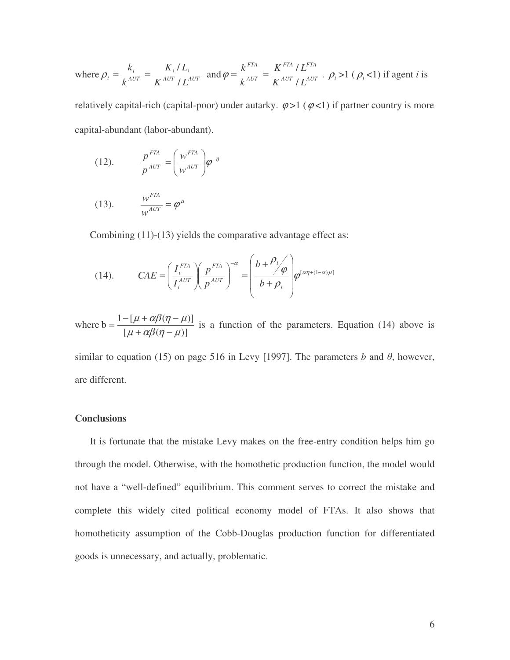where 
$$
\rho_i = \frac{k_i}{k^{AUT}} = \frac{K_i / L_i}{K^{AUT} / L^{AUT}}
$$
 and  $\varphi = \frac{k^{FTA}}{k^{AUT} / L^{FTA}} = \frac{K^{FTA} / L^{FTA}}{K^{AUT} / L^{AUT}}$ .  $\rho_i > 1$  ( $\rho_i$  < 1) if agent *i* is

relatively capital-rich (capital-poor) under autarky.  $\varphi > 1$  ( $\varphi < 1$ ) if partner country is more capital-abundant (labor-abundant).

(12). 
$$
\frac{p^{FTA}}{p^{AUT}} = \left(\frac{w^{FTA}}{w^{AUT}}\right) \varphi^{-\eta}
$$

$$
(13). \qquad \frac{w^{FTA}}{w^{AUT}} = \varphi^{\mu}
$$

Combining (11)-(13) yields the comparative advantage effect as:

(14). 
$$
CAE = \left(\frac{I_i^{FTA}}{I_i^{AUT}}\right) \left(\frac{p^{FTA}}{p^{AUT}}\right)^{-\alpha} = \left(\frac{b+\frac{\rho_i}{\varphi}}{b+\rho_i}\right) \varphi^{[\alpha\eta+(1-\alpha)\mu]}
$$

where  $[\mu + \alpha\beta(\eta - \mu)]$  $b = \frac{1 - [\mu + \alpha\beta(\eta - \mu)]}{\alpha}$  $\mu + \alpha\beta(\eta - \mu)$  $\mu + \alpha\beta(\eta - \mu)$  $+ \alpha \beta(\eta =\frac{1 - [\mu + \alpha\beta(\eta - \mu)]}{\sigma^2}$  is a function of the parameters. Equation (14) above is

similar to equation (15) on page 516 in Levy [1997]. The parameters *b* and  $\theta$ , however, are different.

### **Conclusions**

It is fortunate that the mistake Levy makes on the free-entry condition helps him go through the model. Otherwise, with the homothetic production function, the model would not have a "well-defined" equilibrium. This comment serves to correct the mistake and complete this widely cited political economy model of FTAs. It also shows that homotheticity assumption of the Cobb-Douglas production function for differentiated goods is unnecessary, and actually, problematic.